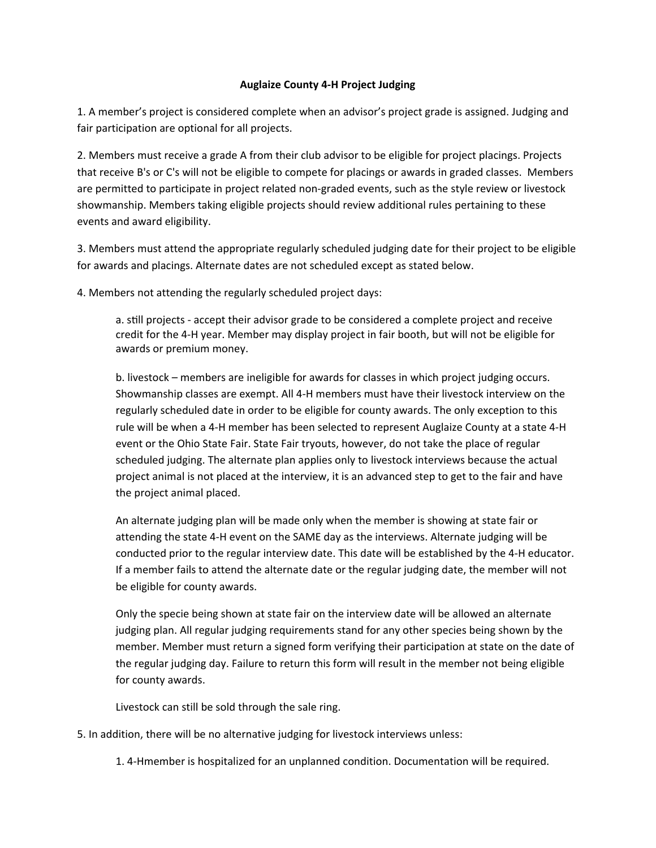## **Auglaize County 4‐H Project Judging**

1. A member's project is considered complete when an advisor's project grade is assigned. Judging and fair participation are optional for all projects.

2. Members must receive a grade A from their club advisor to be eligible for project placings. Projects that receive B's or C's will not be eligible to compete for placings or awards in graded classes. Members are permitted to participate in project related non-graded events, such as the style review or livestock showmanship. Members taking eligible projects should review additional rules pertaining to these events and award eligibility.

3. Members must attend the appropriate regularly scheduled judging date for their project to be eligible for awards and placings. Alternate dates are not scheduled except as stated below.

4. Members not attending the regularly scheduled project days:

a. still projects - accept their advisor grade to be considered a complete project and receive credit for the 4‐H year. Member may display project in fair booth, but will not be eligible for awards or premium money.

b. livestock – members are ineligible for awards for classes in which project judging occurs. Showmanship classes are exempt. All 4‐H members must have their livestock interview on the regularly scheduled date in order to be eligible for county awards. The only exception to this rule will be when a 4‐H member has been selected to represent Auglaize County at a state 4‐H event or the Ohio State Fair. State Fair tryouts, however, do not take the place of regular scheduled judging. The alternate plan applies only to livestock interviews because the actual project animal is not placed at the interview, it is an advanced step to get to the fair and have the project animal placed.

An alternate judging plan will be made only when the member is showing at state fair or attending the state 4‐H event on the SAME day as the interviews. Alternate judging will be conducted prior to the regular interview date. This date will be established by the 4‐H educator. If a member fails to attend the alternate date or the regular judging date, the member will not be eligible for county awards.

Only the specie being shown at state fair on the interview date will be allowed an alternate judging plan. All regular judging requirements stand for any other species being shown by the member. Member must return a signed form verifying their participation at state on the date of the regular judging day. Failure to return this form will result in the member not being eligible for county awards.

Livestock can still be sold through the sale ring.

5. In addition, there will be no alternative judging for livestock interviews unless:

1. 4‐Hmember is hospitalized for an unplanned condition. Documentation will be required.